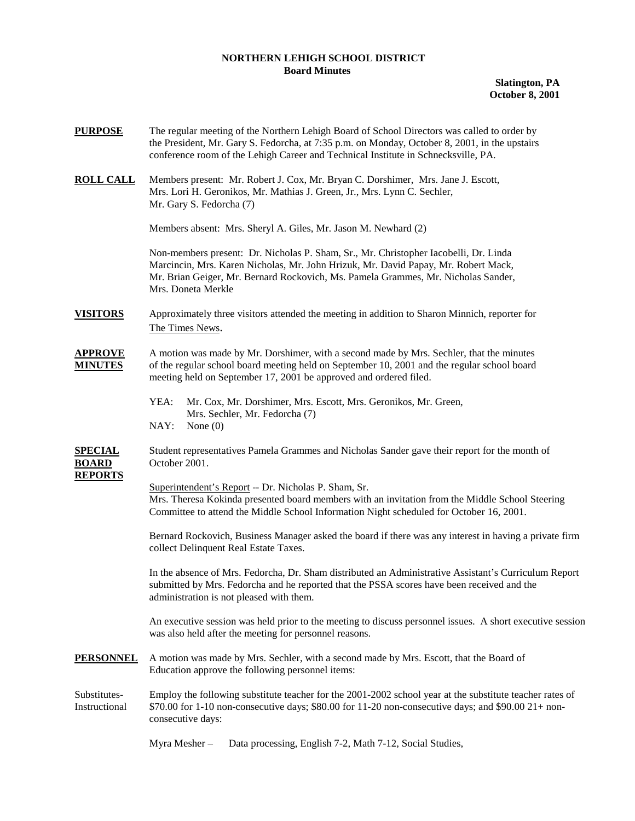## **NORTHERN LEHIGH SCHOOL DISTRICT Board Minutes**

**Slatington, PA October 8, 2001** 

| Members present: Mr. Robert J. Cox, Mr. Bryan C. Dorshimer, Mrs. Jane J. Escott,<br>Mrs. Lori H. Geronikos, Mr. Mathias J. Green, Jr., Mrs. Lynn C. Sechler,<br>Mr. Gary S. Fedorcha (7)<br>Members absent: Mrs. Sheryl A. Giles, Mr. Jason M. Newhard (2)<br>Non-members present: Dr. Nicholas P. Sham, Sr., Mr. Christopher Iacobelli, Dr. Linda<br>Marcincin, Mrs. Karen Nicholas, Mr. John Hrizuk, Mr. David Papay, Mr. Robert Mack,<br>Mr. Brian Geiger, Mr. Bernard Rockovich, Ms. Pamela Grammes, Mr. Nicholas Sander,<br>Mrs. Doneta Merkle<br>Approximately three visitors attended the meeting in addition to Sharon Minnich, reporter for<br>The Times News.<br>A motion was made by Mr. Dorshimer, with a second made by Mrs. Sechler, that the minutes<br>of the regular school board meeting held on September 10, 2001 and the regular school board<br>meeting held on September 17, 2001 be approved and ordered filed.<br>YEA:<br>Mr. Cox, Mr. Dorshimer, Mrs. Escott, Mrs. Geronikos, Mr. Green,<br>Mrs. Sechler, Mr. Fedorcha (7)<br>NAY:<br>None $(0)$<br>Student representatives Pamela Grammes and Nicholas Sander gave their report for the month of<br>October 2001.<br><b>REPORTS</b><br>Superintendent's Report -- Dr. Nicholas P. Sham, Sr.<br>Mrs. Theresa Kokinda presented board members with an invitation from the Middle School Steering<br>Committee to attend the Middle School Information Night scheduled for October 16, 2001.<br>Bernard Rockovich, Business Manager asked the board if there was any interest in having a private firm<br>collect Delinquent Real Estate Taxes.<br>In the absence of Mrs. Fedorcha, Dr. Sham distributed an Administrative Assistant's Curriculum Report<br>submitted by Mrs. Fedorcha and he reported that the PSSA scores have been received and the<br>administration is not pleased with them.<br>An executive session was held prior to the meeting to discuss personnel issues. A short executive session<br>was also held after the meeting for personnel reasons.<br>A motion was made by Mrs. Sechler, with a second made by Mrs. Escott, that the Board of<br>Education approve the following personnel items:<br>Employ the following substitute teacher for the 2001-2002 school year at the substitute teacher rates of<br>$$70.00$ for 1-10 non-consecutive days; \$80.00 for 11-20 non-consecutive days; and \$90.00 21+ non-<br>consecutive days: | <b>PURPOSE</b>                   | The regular meeting of the Northern Lehigh Board of School Directors was called to order by<br>the President, Mr. Gary S. Fedorcha, at 7:35 p.m. on Monday, October 8, 2001, in the upstairs<br>conference room of the Lehigh Career and Technical Institute in Schnecksville, PA. |  |  |  |
|-------------------------------------------------------------------------------------------------------------------------------------------------------------------------------------------------------------------------------------------------------------------------------------------------------------------------------------------------------------------------------------------------------------------------------------------------------------------------------------------------------------------------------------------------------------------------------------------------------------------------------------------------------------------------------------------------------------------------------------------------------------------------------------------------------------------------------------------------------------------------------------------------------------------------------------------------------------------------------------------------------------------------------------------------------------------------------------------------------------------------------------------------------------------------------------------------------------------------------------------------------------------------------------------------------------------------------------------------------------------------------------------------------------------------------------------------------------------------------------------------------------------------------------------------------------------------------------------------------------------------------------------------------------------------------------------------------------------------------------------------------------------------------------------------------------------------------------------------------------------------------------------------------------------------------------------------------------------------------------------------------------------------------------------------------------------------------------------------------------------------------------------------------------------------------------------------------------------------------------------------------------------------------------------------------------------------------------------------------------------------------------------------------------------------------------------|----------------------------------|------------------------------------------------------------------------------------------------------------------------------------------------------------------------------------------------------------------------------------------------------------------------------------|--|--|--|
|                                                                                                                                                                                                                                                                                                                                                                                                                                                                                                                                                                                                                                                                                                                                                                                                                                                                                                                                                                                                                                                                                                                                                                                                                                                                                                                                                                                                                                                                                                                                                                                                                                                                                                                                                                                                                                                                                                                                                                                                                                                                                                                                                                                                                                                                                                                                                                                                                                           | <b>ROLL CALL</b>                 |                                                                                                                                                                                                                                                                                    |  |  |  |
|                                                                                                                                                                                                                                                                                                                                                                                                                                                                                                                                                                                                                                                                                                                                                                                                                                                                                                                                                                                                                                                                                                                                                                                                                                                                                                                                                                                                                                                                                                                                                                                                                                                                                                                                                                                                                                                                                                                                                                                                                                                                                                                                                                                                                                                                                                                                                                                                                                           |                                  |                                                                                                                                                                                                                                                                                    |  |  |  |
|                                                                                                                                                                                                                                                                                                                                                                                                                                                                                                                                                                                                                                                                                                                                                                                                                                                                                                                                                                                                                                                                                                                                                                                                                                                                                                                                                                                                                                                                                                                                                                                                                                                                                                                                                                                                                                                                                                                                                                                                                                                                                                                                                                                                                                                                                                                                                                                                                                           |                                  |                                                                                                                                                                                                                                                                                    |  |  |  |
|                                                                                                                                                                                                                                                                                                                                                                                                                                                                                                                                                                                                                                                                                                                                                                                                                                                                                                                                                                                                                                                                                                                                                                                                                                                                                                                                                                                                                                                                                                                                                                                                                                                                                                                                                                                                                                                                                                                                                                                                                                                                                                                                                                                                                                                                                                                                                                                                                                           | <b>VISITORS</b>                  |                                                                                                                                                                                                                                                                                    |  |  |  |
|                                                                                                                                                                                                                                                                                                                                                                                                                                                                                                                                                                                                                                                                                                                                                                                                                                                                                                                                                                                                                                                                                                                                                                                                                                                                                                                                                                                                                                                                                                                                                                                                                                                                                                                                                                                                                                                                                                                                                                                                                                                                                                                                                                                                                                                                                                                                                                                                                                           | <u>APPROVE</u><br><b>MINUTES</b> |                                                                                                                                                                                                                                                                                    |  |  |  |
|                                                                                                                                                                                                                                                                                                                                                                                                                                                                                                                                                                                                                                                                                                                                                                                                                                                                                                                                                                                                                                                                                                                                                                                                                                                                                                                                                                                                                                                                                                                                                                                                                                                                                                                                                                                                                                                                                                                                                                                                                                                                                                                                                                                                                                                                                                                                                                                                                                           |                                  |                                                                                                                                                                                                                                                                                    |  |  |  |
|                                                                                                                                                                                                                                                                                                                                                                                                                                                                                                                                                                                                                                                                                                                                                                                                                                                                                                                                                                                                                                                                                                                                                                                                                                                                                                                                                                                                                                                                                                                                                                                                                                                                                                                                                                                                                                                                                                                                                                                                                                                                                                                                                                                                                                                                                                                                                                                                                                           |                                  |                                                                                                                                                                                                                                                                                    |  |  |  |
|                                                                                                                                                                                                                                                                                                                                                                                                                                                                                                                                                                                                                                                                                                                                                                                                                                                                                                                                                                                                                                                                                                                                                                                                                                                                                                                                                                                                                                                                                                                                                                                                                                                                                                                                                                                                                                                                                                                                                                                                                                                                                                                                                                                                                                                                                                                                                                                                                                           | <u>SPECIAL</u><br><b>BOARD</b>   |                                                                                                                                                                                                                                                                                    |  |  |  |
|                                                                                                                                                                                                                                                                                                                                                                                                                                                                                                                                                                                                                                                                                                                                                                                                                                                                                                                                                                                                                                                                                                                                                                                                                                                                                                                                                                                                                                                                                                                                                                                                                                                                                                                                                                                                                                                                                                                                                                                                                                                                                                                                                                                                                                                                                                                                                                                                                                           |                                  |                                                                                                                                                                                                                                                                                    |  |  |  |
|                                                                                                                                                                                                                                                                                                                                                                                                                                                                                                                                                                                                                                                                                                                                                                                                                                                                                                                                                                                                                                                                                                                                                                                                                                                                                                                                                                                                                                                                                                                                                                                                                                                                                                                                                                                                                                                                                                                                                                                                                                                                                                                                                                                                                                                                                                                                                                                                                                           |                                  |                                                                                                                                                                                                                                                                                    |  |  |  |
|                                                                                                                                                                                                                                                                                                                                                                                                                                                                                                                                                                                                                                                                                                                                                                                                                                                                                                                                                                                                                                                                                                                                                                                                                                                                                                                                                                                                                                                                                                                                                                                                                                                                                                                                                                                                                                                                                                                                                                                                                                                                                                                                                                                                                                                                                                                                                                                                                                           |                                  |                                                                                                                                                                                                                                                                                    |  |  |  |
|                                                                                                                                                                                                                                                                                                                                                                                                                                                                                                                                                                                                                                                                                                                                                                                                                                                                                                                                                                                                                                                                                                                                                                                                                                                                                                                                                                                                                                                                                                                                                                                                                                                                                                                                                                                                                                                                                                                                                                                                                                                                                                                                                                                                                                                                                                                                                                                                                                           |                                  |                                                                                                                                                                                                                                                                                    |  |  |  |
|                                                                                                                                                                                                                                                                                                                                                                                                                                                                                                                                                                                                                                                                                                                                                                                                                                                                                                                                                                                                                                                                                                                                                                                                                                                                                                                                                                                                                                                                                                                                                                                                                                                                                                                                                                                                                                                                                                                                                                                                                                                                                                                                                                                                                                                                                                                                                                                                                                           | <b>PERSONNEL</b>                 |                                                                                                                                                                                                                                                                                    |  |  |  |
|                                                                                                                                                                                                                                                                                                                                                                                                                                                                                                                                                                                                                                                                                                                                                                                                                                                                                                                                                                                                                                                                                                                                                                                                                                                                                                                                                                                                                                                                                                                                                                                                                                                                                                                                                                                                                                                                                                                                                                                                                                                                                                                                                                                                                                                                                                                                                                                                                                           | Substitutes-<br>Instructional    |                                                                                                                                                                                                                                                                                    |  |  |  |

Myra Mesher – Data processing, English 7-2, Math 7-12, Social Studies,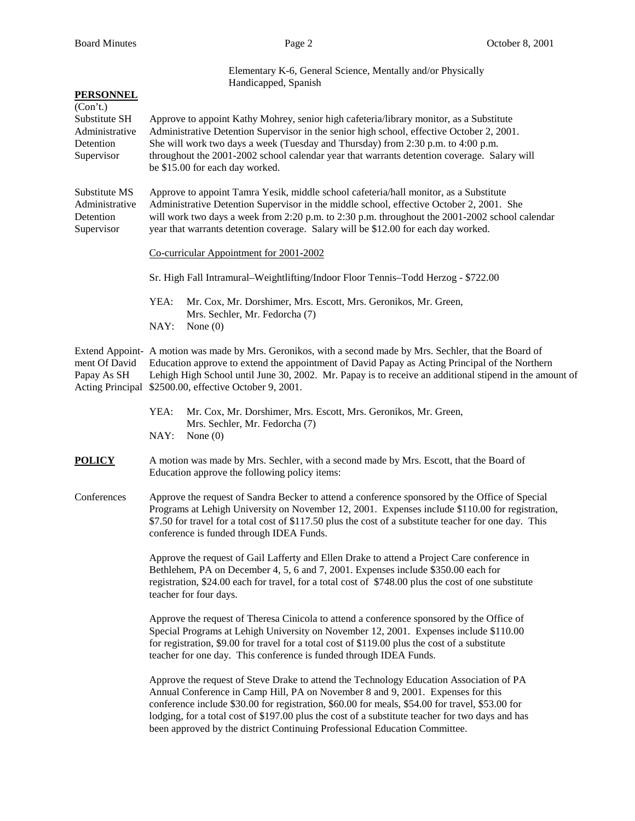| <u>PERSONNEL</u>                                                       | Elementary K-6, General Science, Mentally and/or Physically<br>Handicapped, Spanish                                                                                                                                                                                                                                                                                                                        |  |  |
|------------------------------------------------------------------------|------------------------------------------------------------------------------------------------------------------------------------------------------------------------------------------------------------------------------------------------------------------------------------------------------------------------------------------------------------------------------------------------------------|--|--|
| (Con't.)<br>Substitute SH<br>Administrative<br>Detention<br>Supervisor | Approve to appoint Kathy Mohrey, senior high cafeteria/library monitor, as a Substitute<br>Administrative Detention Supervisor in the senior high school, effective October 2, 2001.<br>She will work two days a week (Tuesday and Thursday) from 2:30 p.m. to 4:00 p.m.<br>throughout the 2001-2002 school calendar year that warrants detention coverage. Salary will<br>be \$15.00 for each day worked. |  |  |
| Substitute MS<br>Administrative<br>Detention<br>Supervisor             | Approve to appoint Tamra Yesik, middle school cafeteria/hall monitor, as a Substitute<br>Administrative Detention Supervisor in the middle school, effective October 2, 2001. She<br>will work two days a week from 2:20 p.m. to 2:30 p.m. throughout the 2001-2002 school calendar<br>year that warrants detention coverage. Salary will be \$12.00 for each day worked.                                  |  |  |
|                                                                        | Co-curricular Appointment for 2001-2002                                                                                                                                                                                                                                                                                                                                                                    |  |  |
|                                                                        | Sr. High Fall Intramural–Weightlifting/Indoor Floor Tennis–Todd Herzog - \$722.00                                                                                                                                                                                                                                                                                                                          |  |  |
|                                                                        | YEA:<br>Mr. Cox, Mr. Dorshimer, Mrs. Escott, Mrs. Geronikos, Mr. Green,<br>Mrs. Sechler, Mr. Fedorcha (7)<br>NAY:<br>None $(0)$                                                                                                                                                                                                                                                                            |  |  |
| ment Of David<br>Papay As SH<br><b>Acting Principal</b>                | Extend Appoint- A motion was made by Mrs. Geronikos, with a second made by Mrs. Sechler, that the Board of<br>Education approve to extend the appointment of David Papay as Acting Principal of the Northern<br>Lehigh High School until June 30, 2002. Mr. Papay is to receive an additional stipend in the amount of<br>\$2500.00, effective October 9, 2001.                                            |  |  |
|                                                                        | YEA:<br>Mr. Cox, Mr. Dorshimer, Mrs. Escott, Mrs. Geronikos, Mr. Green,<br>Mrs. Sechler, Mr. Fedorcha (7)<br>NAY:<br>None $(0)$                                                                                                                                                                                                                                                                            |  |  |
| POLICY                                                                 | A motion was made by Mrs. Sechler, with a second made by Mrs. Escott, that the Board of<br>Education approve the following policy items:                                                                                                                                                                                                                                                                   |  |  |
| Conferences                                                            | Approve the request of Sandra Becker to attend a conference sponsored by the Office of Special<br>Programs at Lehigh University on November 12, 2001. Expenses include \$110.00 for registration,<br>\$7.50 for travel for a total cost of \$117.50 plus the cost of a substitute teacher for one day. This<br>conference is funded through IDEA Funds.                                                    |  |  |
|                                                                        | Approve the request of Gail Lafferty and Ellen Drake to attend a Project Care conference in<br>Bethlehem, PA on December 4, 5, 6 and 7, 2001. Expenses include \$350.00 each for<br>registration, \$24.00 each for travel, for a total cost of \$748.00 plus the cost of one substitute<br>teacher for four days.                                                                                          |  |  |
|                                                                        | Approve the request of Theresa Cinicola to attend a conference sponsored by the Office of<br>Special Programs at Lehigh University on November 12, 2001. Expenses include \$110.00<br>for registration, \$9.00 for travel for a total cost of \$119.00 plus the cost of a substitute<br>teacher for one day. This conference is funded through IDEA Funds.                                                 |  |  |
|                                                                        | Approve the request of Steve Drake to attend the Technology Education Association of PA                                                                                                                                                                                                                                                                                                                    |  |  |

Annual Conference in Camp Hill, PA on November 8 and 9, 2001. Expenses for this conference include \$30.00 for registration, \$60.00 for meals, \$54.00 for travel, \$53.00 for lodging, for a total cost of \$197.00 plus the cost of a substitute teacher for two days and has been approved by the district Continuing Professional Education Committee.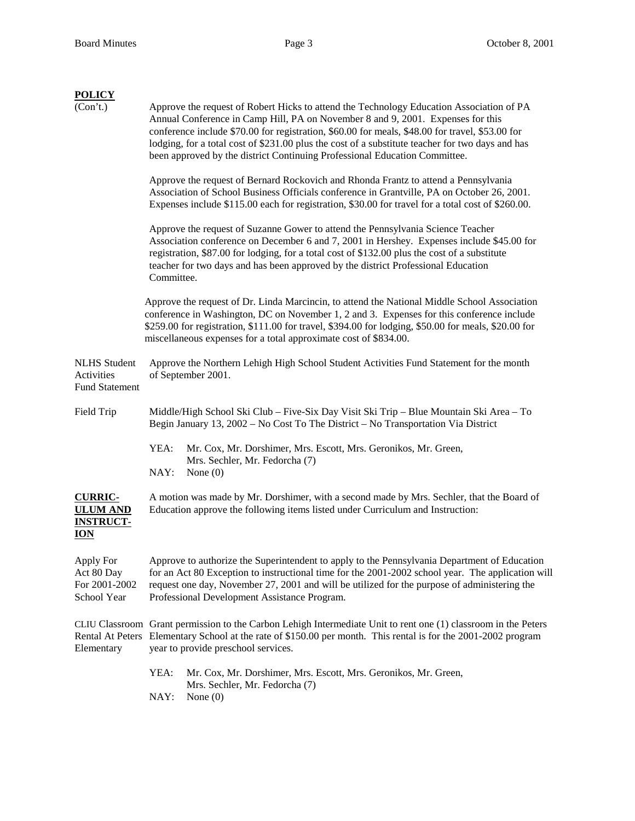| <b>POLICY</b><br>(Con't.)<br>Approve the request of Robert Hicks to attend the Technology Education Association of PA<br>Annual Conference in Camp Hill, PA on November 8 and 9, 2001. Expenses for this<br>conference include \$70.00 for registration, \$60.00 for meals, \$48.00 for travel, \$53.00 for<br>lodging, for a total cost of \$231.00 plus the cost of a substitute teacher for two days and has<br>been approved by the district Continuing Professional Education Committee.<br>Approve the request of Bernard Rockovich and Rhonda Frantz to attend a Pennsylvania<br>Association of School Business Officials conference in Grantville, PA on October 26, 2001.<br>Expenses include \$115.00 each for registration, \$30.00 for travel for a total cost of \$260.00.<br>Approve the request of Suzanne Gower to attend the Pennsylvania Science Teacher<br>Association conference on December 6 and 7, 2001 in Hershey. Expenses include \$45.00 for<br>registration, \$87.00 for lodging, for a total cost of \$132.00 plus the cost of a substitute<br>teacher for two days and has been approved by the district Professional Education<br>Committee. |                                                                                                                                                                                                                                                                                                                                                   |  |  |
|-----------------------------------------------------------------------------------------------------------------------------------------------------------------------------------------------------------------------------------------------------------------------------------------------------------------------------------------------------------------------------------------------------------------------------------------------------------------------------------------------------------------------------------------------------------------------------------------------------------------------------------------------------------------------------------------------------------------------------------------------------------------------------------------------------------------------------------------------------------------------------------------------------------------------------------------------------------------------------------------------------------------------------------------------------------------------------------------------------------------------------------------------------------------------------|---------------------------------------------------------------------------------------------------------------------------------------------------------------------------------------------------------------------------------------------------------------------------------------------------------------------------------------------------|--|--|
| Approve the request of Dr. Linda Marcincin, to attend the National Middle School Association<br>conference in Washington, DC on November 1, 2 and 3. Expenses for this conference include<br>\$259.00 for registration, \$111.00 for travel, \$394.00 for lodging, \$50.00 for meals, \$20.00 for<br>miscellaneous expenses for a total approximate cost of \$834.00.                                                                                                                                                                                                                                                                                                                                                                                                                                                                                                                                                                                                                                                                                                                                                                                                       |                                                                                                                                                                                                                                                                                                                                                   |  |  |
| <b>NLHS</b> Student<br>Activities<br><b>Fund Statement</b>                                                                                                                                                                                                                                                                                                                                                                                                                                                                                                                                                                                                                                                                                                                                                                                                                                                                                                                                                                                                                                                                                                                  | Approve the Northern Lehigh High School Student Activities Fund Statement for the month<br>of September 2001.                                                                                                                                                                                                                                     |  |  |
| Field Trip                                                                                                                                                                                                                                                                                                                                                                                                                                                                                                                                                                                                                                                                                                                                                                                                                                                                                                                                                                                                                                                                                                                                                                  | Middle/High School Ski Club – Five-Six Day Visit Ski Trip – Blue Mountain Ski Area – To<br>Begin January 13, 2002 – No Cost To The District – No Transportation Via District<br>YEA:<br>Mr. Cox, Mr. Dorshimer, Mrs. Escott, Mrs. Geronikos, Mr. Green,<br>Mrs. Sechler, Mr. Fedorcha (7)<br>NAY:<br>None $(0)$                                   |  |  |
| <b>CURRIC-</b><br><b>ULUM AND</b><br><b>INSTRUCT-</b><br><b>ION</b>                                                                                                                                                                                                                                                                                                                                                                                                                                                                                                                                                                                                                                                                                                                                                                                                                                                                                                                                                                                                                                                                                                         | A motion was made by Mr. Dorshimer, with a second made by Mrs. Sechler, that the Board of<br>Education approve the following items listed under Curriculum and Instruction:                                                                                                                                                                       |  |  |
| Apply For<br>Act 80 Day<br>For 2001-2002<br>School Year                                                                                                                                                                                                                                                                                                                                                                                                                                                                                                                                                                                                                                                                                                                                                                                                                                                                                                                                                                                                                                                                                                                     | Approve to authorize the Superintendent to apply to the Pennsylvania Department of Education<br>for an Act 80 Exception to instructional time for the 2001-2002 school year. The application will<br>request one day, November 27, 2001 and will be utilized for the purpose of administering the<br>Professional Development Assistance Program. |  |  |
| Elementary                                                                                                                                                                                                                                                                                                                                                                                                                                                                                                                                                                                                                                                                                                                                                                                                                                                                                                                                                                                                                                                                                                                                                                  | CLIU Classroom Grant permission to the Carbon Lehigh Intermediate Unit to rent one (1) classroom in the Peters<br>Rental At Peters Elementary School at the rate of \$150.00 per month. This rental is for the 2001-2002 program<br>year to provide preschool services.                                                                           |  |  |
|                                                                                                                                                                                                                                                                                                                                                                                                                                                                                                                                                                                                                                                                                                                                                                                                                                                                                                                                                                                                                                                                                                                                                                             | YEA:<br>Mr. Cox, Mr. Dorshimer, Mrs. Escott, Mrs. Geronikos, Mr. Green,<br>Mrs. Sechler, Mr. Fedorcha (7)<br>NAY:<br>None $(0)$                                                                                                                                                                                                                   |  |  |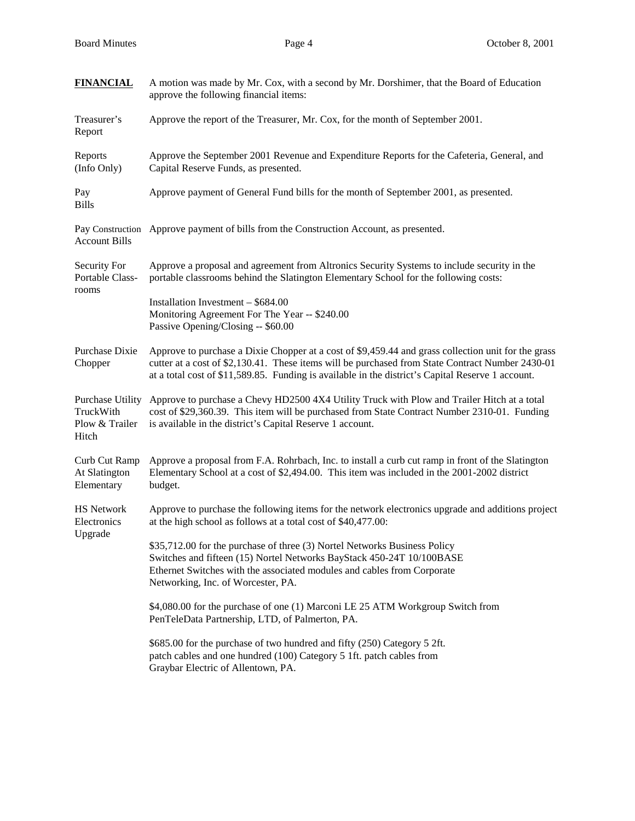| <b>FINANCIAL</b>                                                | A motion was made by Mr. Cox, with a second by Mr. Dorshimer, that the Board of Education<br>approve the following financial items:                                                                                                                                                                          |  |  |
|-----------------------------------------------------------------|--------------------------------------------------------------------------------------------------------------------------------------------------------------------------------------------------------------------------------------------------------------------------------------------------------------|--|--|
| Treasurer's<br>Report                                           | Approve the report of the Treasurer, Mr. Cox, for the month of September 2001.                                                                                                                                                                                                                               |  |  |
| Reports<br>(Info Only)                                          | Approve the September 2001 Revenue and Expenditure Reports for the Cafeteria, General, and<br>Capital Reserve Funds, as presented.                                                                                                                                                                           |  |  |
| Pay<br><b>Bills</b>                                             | Approve payment of General Fund bills for the month of September 2001, as presented.                                                                                                                                                                                                                         |  |  |
| <b>Account Bills</b>                                            | Pay Construction Approve payment of bills from the Construction Account, as presented.                                                                                                                                                                                                                       |  |  |
| Security For<br>Portable Class-<br>rooms                        | Approve a proposal and agreement from Altronics Security Systems to include security in the<br>portable classrooms behind the Slatington Elementary School for the following costs:                                                                                                                          |  |  |
|                                                                 | Installation Investment - \$684.00<br>Monitoring Agreement For The Year -- \$240.00<br>Passive Opening/Closing -- \$60.00                                                                                                                                                                                    |  |  |
| Purchase Dixie<br>Chopper                                       | Approve to purchase a Dixie Chopper at a cost of \$9,459.44 and grass collection unit for the grass<br>cutter at a cost of \$2,130.41. These items will be purchased from State Contract Number 2430-01<br>at a total cost of \$11,589.85. Funding is available in the district's Capital Reserve 1 account. |  |  |
| <b>Purchase Utility</b><br>TruckWith<br>Plow & Trailer<br>Hitch | Approve to purchase a Chevy HD2500 4X4 Utility Truck with Plow and Trailer Hitch at a total<br>cost of \$29,360.39. This item will be purchased from State Contract Number 2310-01. Funding<br>is available in the district's Capital Reserve 1 account.                                                     |  |  |
| Curb Cut Ramp<br>At Slatington<br>Elementary                    | Approve a proposal from F.A. Rohrbach, Inc. to install a curb cut ramp in front of the Slatington<br>Elementary School at a cost of \$2,494.00. This item was included in the 2001-2002 district<br>budget.                                                                                                  |  |  |
| <b>HS Network</b><br>Electronics<br>Upgrade                     | Approve to purchase the following items for the network electronics upgrade and additions project<br>at the high school as follows at a total cost of \$40,477.00:                                                                                                                                           |  |  |
|                                                                 | \$35,712.00 for the purchase of three (3) Nortel Networks Business Policy<br>Switches and fifteen (15) Nortel Networks BayStack 450-24T 10/100BASE<br>Ethernet Switches with the associated modules and cables from Corporate<br>Networking, Inc. of Worcester, PA.                                          |  |  |
|                                                                 | \$4,080.00 for the purchase of one (1) Marconi LE 25 ATM Workgroup Switch from<br>PenTeleData Partnership, LTD, of Palmerton, PA.                                                                                                                                                                            |  |  |
|                                                                 | \$685.00 for the purchase of two hundred and fifty (250) Category 5 2ft.<br>patch cables and one hundred (100) Category 5 1ft. patch cables from<br>Graybar Electric of Allentown, PA.                                                                                                                       |  |  |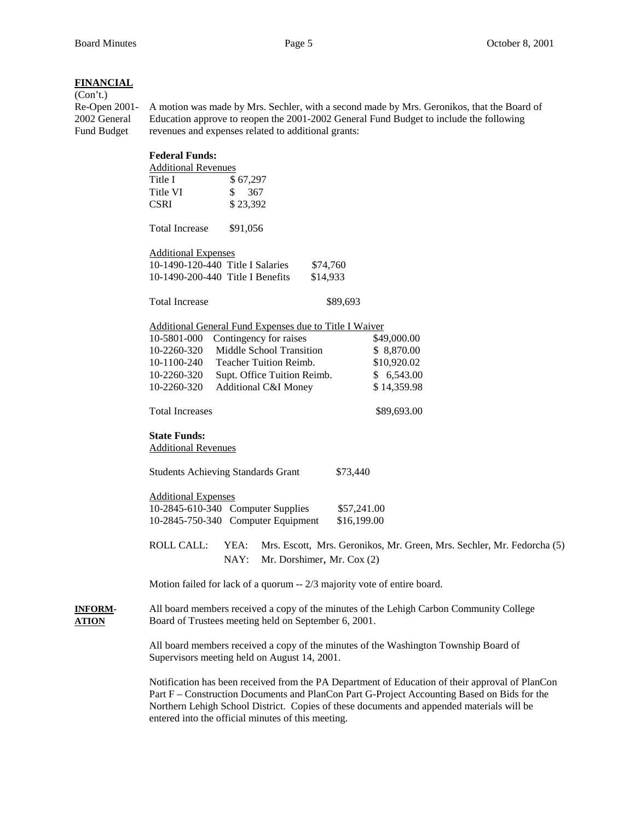## **FINANCIAL**

(Con't.)

Re-Open 2001- A motion was made by Mrs. Sechler, with a second made by Mrs. Geronikos, that the Board of 2002 General Education approve to reopen the 2001-2002 General Fund Budget to include the following Fund Budget revenues and expenses related to additional grants:

|                                | <b>Federal Funds:</b>                                                                                                                           |                                                                        |  |  |
|--------------------------------|-------------------------------------------------------------------------------------------------------------------------------------------------|------------------------------------------------------------------------|--|--|
|                                | <b>Additional Revenues</b>                                                                                                                      |                                                                        |  |  |
|                                | \$67,297<br>Title I                                                                                                                             |                                                                        |  |  |
|                                | Title VI<br>\$<br>367                                                                                                                           |                                                                        |  |  |
|                                | <b>CSRI</b><br>\$23,392                                                                                                                         |                                                                        |  |  |
|                                | <b>Total Increase</b><br>\$91,056                                                                                                               |                                                                        |  |  |
|                                | <b>Additional Expenses</b><br>10-1490-120-440 Title I Salaries<br>\$74,760                                                                      |                                                                        |  |  |
|                                |                                                                                                                                                 |                                                                        |  |  |
|                                | 10-1490-200-440 Title I Benefits<br>\$14,933                                                                                                    |                                                                        |  |  |
|                                | <b>Total Increase</b>                                                                                                                           | \$89,693                                                               |  |  |
|                                | Additional General Fund Expenses due to Title I Waiver                                                                                          |                                                                        |  |  |
|                                | 10-5801-000<br>Contingency for raises                                                                                                           | \$49,000.00                                                            |  |  |
|                                | Middle School Transition<br>10-2260-320                                                                                                         | \$8,870.00                                                             |  |  |
|                                | Teacher Tuition Reimb.<br>10-1100-240                                                                                                           | \$10,920.02                                                            |  |  |
|                                | 10-2260-320<br>Supt. Office Tuition Reimb.                                                                                                      | \$6,543.00                                                             |  |  |
|                                | 10-2260-320<br><b>Additional C&amp;I Money</b>                                                                                                  | \$14,359.98                                                            |  |  |
|                                | <b>Total Increases</b>                                                                                                                          | \$89,693.00                                                            |  |  |
|                                | <b>State Funds:</b>                                                                                                                             |                                                                        |  |  |
|                                | <b>Additional Revenues</b>                                                                                                                      |                                                                        |  |  |
|                                | <b>Students Achieving Standards Grant</b><br>\$73,440                                                                                           |                                                                        |  |  |
|                                | <b>Additional Expenses</b>                                                                                                                      |                                                                        |  |  |
|                                | 10-2845-610-340 Computer Supplies<br>\$57,241.00                                                                                                |                                                                        |  |  |
|                                | 10-2845-750-340 Computer Equipment<br>\$16,199.00                                                                                               |                                                                        |  |  |
|                                | <b>ROLL CALL:</b><br>YEA:<br>NAY:<br>Mr. Dorshimer, Mr. Cox (2)                                                                                 | Mrs. Escott, Mrs. Geronikos, Mr. Green, Mrs. Sechler, Mr. Fedorcha (5) |  |  |
|                                | Motion failed for lack of a quorum -- 2/3 majority vote of entire board.                                                                        |                                                                        |  |  |
| <b>INFORM-</b><br><b>ATION</b> | All board members received a copy of the minutes of the Lehigh Carbon Community College<br>Board of Trustees meeting held on September 6, 2001. |                                                                        |  |  |
|                                | All board members received a copy of the minutes of the Washington Township Board of<br>Supervisors meeting held on August 14, 2001.            |                                                                        |  |  |
|                                | Notification has been received from the PA Department of Education of their approval of PlanCon                                                 |                                                                        |  |  |

al of PlanCon Part F – Construction Documents and PlanCon Part G-Project Accounting Based on Bids for the Northern Lehigh School District. Copies of these documents and appended materials will be entered into the official minutes of this meeting.